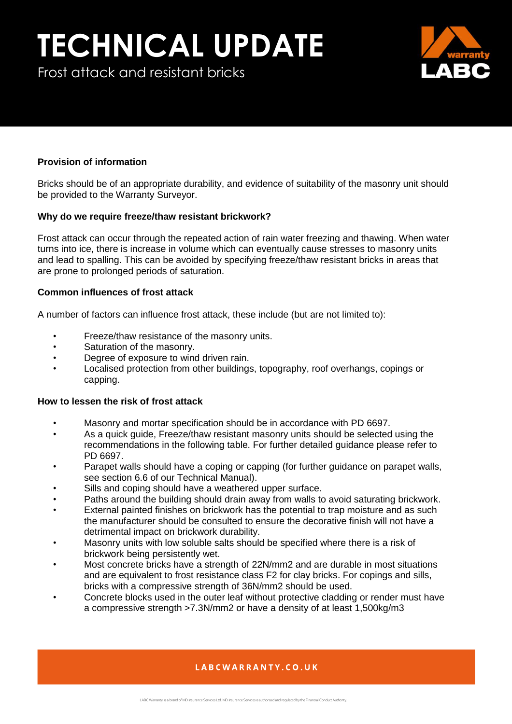# **TECHNICAL UPDATE**

Frost attack and resistant bricks



### **Provision of information**

Bricks should be of an appropriate durability, and evidence of suitability of the masonry unit should be provided to the Warranty Surveyor.

### **Why do we require freeze/thaw resistant brickwork?**

Frost attack can occur through the repeated action of rain water freezing and thawing. When water turns into ice, there is increase in volume which can eventually cause stresses to masonry units and lead to spalling. This can be avoided by specifying freeze/thaw resistant bricks in areas that are prone to prolonged periods of saturation.

### **Common influences of frost attack**

A number of factors can influence frost attack, these include (but are not limited to):

- Freeze/thaw resistance of the masonry units.
- Saturation of the masonry.
- Degree of exposure to wind driven rain.
- Localised protection from other buildings, topography, roof overhangs, copings or capping.

#### **How to lessen the risk of frost attack**

- Masonry and mortar specification should be in accordance with PD 6697.
- As a quick guide, Freeze/thaw resistant masonry units should be selected using the recommendations in the following table. For further detailed guidance please refer to PD 6697.
- Parapet walls should have a coping or capping (for further guidance on parapet walls, see section 6.6 of our Technical Manual).
- Sills and coping should have a weathered upper surface.
- Paths around the building should drain away from walls to avoid saturating brickwork.
- External painted finishes on brickwork has the potential to trap moisture and as such the manufacturer should be consulted to ensure the decorative finish will not have a detrimental impact on brickwork durability.
- Masonry units with low soluble salts should be specified where there is a risk of brickwork being persistently wet.
- Most concrete bricks have a strength of 22N/mm2 and are durable in most situations and are equivalent to frost resistance class F2 for clay bricks. For copings and sills, bricks with a compressive strength of 36N/mm2 should be used.
- Concrete blocks used in the outer leaf without protective cladding or render must have a compressive strength >7.3N/mm2 or have a density of at least 1,500kg/m3

## LABCWARRANTY.CO.UK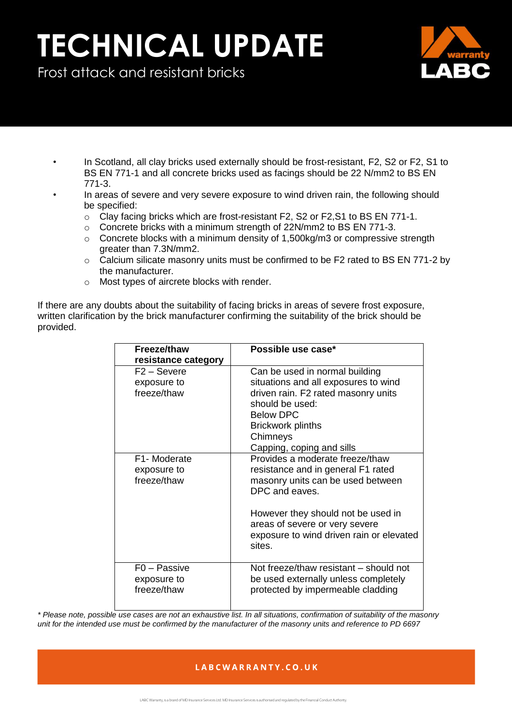# **TECHNICAL UPDATE**

Frost attack and resistant bricks



- In Scotland, all clay bricks used externally should be frost-resistant, F2, S2 or F2, S1 to BS EN 771-1 and all concrete bricks used as facings should be 22 N/mm2 to BS EN 771-3.
- In areas of severe and very severe exposure to wind driven rain, the following should be specified:
	- $\circ$  Clay facing bricks which are frost-resistant F2, S2 or F2, S1 to BS EN 771-1.
	- o Concrete bricks with a minimum strength of 22N/mm2 to BS EN 771-3.
	- $\circ$  Concrete blocks with a minimum density of 1,500kg/m3 or compressive strength greater than 7.3N/mm2.
	- $\circ$  Calcium silicate masonry units must be confirmed to be F2 rated to BS EN 771-2 by the manufacturer.
	- o Most types of aircrete blocks with render.

If there are any doubts about the suitability of facing bricks in areas of severe frost exposure, written clarification by the brick manufacturer confirming the suitability of the brick should be provided.

| Freeze/thaw              | Possible use case*                       |
|--------------------------|------------------------------------------|
| resistance category      |                                          |
| $F2 -$ Severe            | Can be used in normal building           |
| exposure to              | situations and all exposures to wind     |
| freeze/thaw              | driven rain. F2 rated masonry units      |
|                          | should be used:                          |
|                          | <b>Below DPC</b>                         |
|                          | <b>Brickwork plinths</b>                 |
|                          | Chimneys                                 |
|                          | Capping, coping and sills                |
| F1- Moderate             | Provides a moderate freeze/thaw          |
| exposure to              | resistance and in general F1 rated       |
| freeze/thaw              | masonry units can be used between        |
|                          | DPC and eaves.                           |
|                          | However they should not be used in       |
|                          | areas of severe or very severe           |
|                          | exposure to wind driven rain or elevated |
|                          | sites.                                   |
|                          |                                          |
| F <sub>0</sub> – Passive | Not freeze/thaw resistant - should not   |
| exposure to              | be used externally unless completely     |
| freeze/thaw              | protected by impermeable cladding        |
|                          |                                          |

*\* Please note, possible use cases are not an exhaustive list. In all situations, confirmation of suitability of the masonry unit for the intended use must be confirmed by the manufacturer of the masonry units and reference to PD 6697*

## LABCWARRANTY.CO.UK